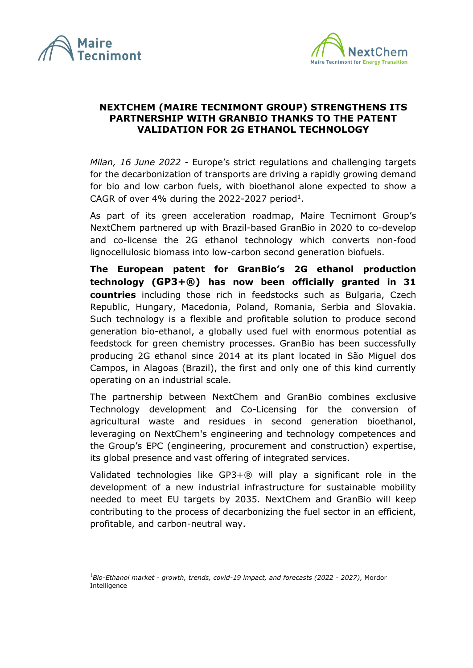



## **NEXTCHEM (MAIRE TECNIMONT GROUP) STRENGTHENS ITS PARTNERSHIP WITH GRANBIO THANKS TO THE PATENT VALIDATION FOR 2G ETHANOL TECHNOLOGY**

*Milan, 16 June 2022 -* Europe's strict regulations and challenging targets for the decarbonization of transports are driving a rapidly growing demand for bio and low carbon fuels, with bioethanol alone expected to show a CAGR of over 4% during the 2022-2027 period<sup>1</sup>.

As part of its green acceleration roadmap, Maire Tecnimont Group's NextChem partnered up with Brazil-based GranBio in 2020 to co-develop and co-license the 2G ethanol technology which converts non-food lignocellulosic biomass into low-carbon second generation biofuels.

**The European patent for GranBio's 2G ethanol production technology (GP3+®) has now been officially granted in 31 countries** including those rich in feedstocks such as Bulgaria, Czech Republic, Hungary, Macedonia, Poland, Romania, Serbia and Slovakia. Such technology is a flexible and profitable solution to produce second generation bio-ethanol, a globally used fuel with enormous potential as feedstock for green chemistry processes. GranBio has been successfully producing 2G ethanol since 2014 at its plant located in São Miguel dos Campos, in Alagoas (Brazil), the first and only one of this kind currently operating on an industrial scale.

The partnership between NextChem and GranBio combines exclusive Technology development and Co-Licensing for the conversion of agricultural waste and residues in second generation bioethanol, leveraging on NextChem's engineering and technology competences and the Group's EPC (engineering, procurement and construction) expertise, its global presence and vast offering of integrated services.

Validated technologies like GP3+® will play a significant role in the development of a new industrial infrastructure for sustainable mobility needed to meet EU targets by 2035. NextChem and GranBio will keep contributing to the process of decarbonizing the fuel sector in an efficient, profitable, and carbon-neutral way.

<sup>1</sup>*Bio-Ethanol market - growth, trends, covid-19 impact, and forecasts (2022 - 2027)*, Mordor Intelligence